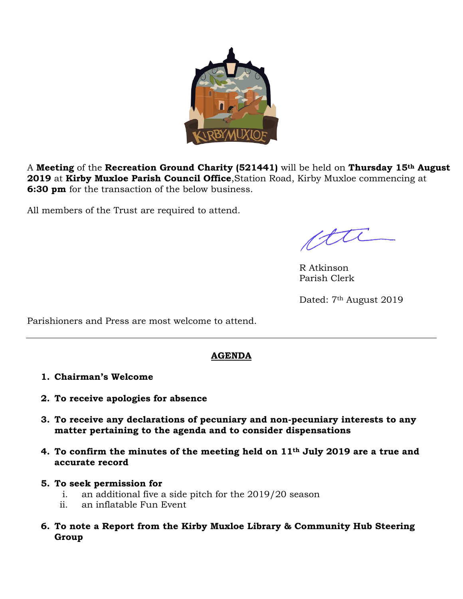

A **Meeting** of the **Recreation Ground Charity (521441)** will be held on **Thursday 15th August 2019** at **Kirby Muxloe Parish Council Office**,Station Road, Kirby Muxloe commencing at **6:30 pm** for the transaction of the below business.

All members of the Trust are required to attend.

R Atkinson Parish Clerk

Dated: 7<sup>th</sup> August 2019

Parishioners and Press are most welcome to attend.

## **AGENDA**

- **1. Chairman's Welcome**
- **2. To receive apologies for absence**
- **3. To receive any declarations of pecuniary and non-pecuniary interests to any matter pertaining to the agenda and to consider dispensations**
- **4. To confirm the minutes of the meeting held on 11th July 2019 are a true and accurate record**
- **5. To seek permission for** 
	- i. an additional five a side pitch for the 2019/20 season
	- ii. an inflatable Fun Event
- **6. To note a Report from the Kirby Muxloe Library & Community Hub Steering Group**